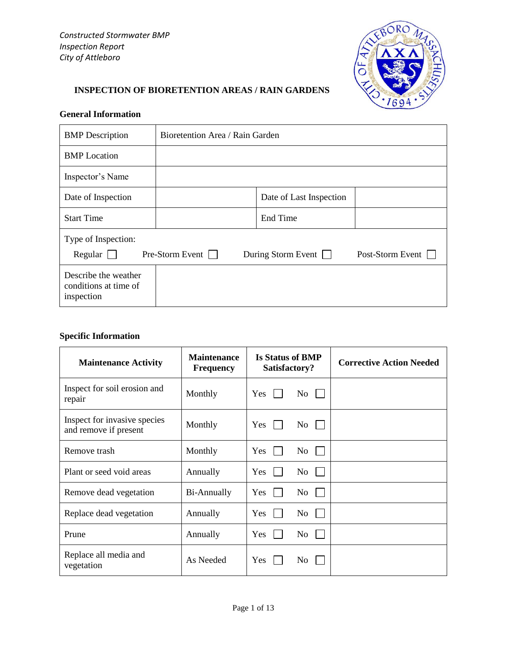

# **INSPECTION OF BIORETENTION AREAS / RAIN GARDENS**

### **General Information**

| <b>BMP</b> Description                                                                              | Bioretention Area / Rain Garden |                         |  |
|-----------------------------------------------------------------------------------------------------|---------------------------------|-------------------------|--|
| <b>BMP</b> Location                                                                                 |                                 |                         |  |
| Inspector's Name                                                                                    |                                 |                         |  |
| Date of Inspection                                                                                  |                                 | Date of Last Inspection |  |
| <b>Start Time</b>                                                                                   |                                 | End Time                |  |
| Type of Inspection:<br>Regular<br>Pre-Storm Event    <br>During Storm Event    <br>Post-Storm Event |                                 |                         |  |
| Describe the weather<br>conditions at time of<br>inspection                                         |                                 |                         |  |

| <b>Maintenance Activity</b>                           | <b>Maintenance</b><br><b>Frequency</b> | <b>Is Status of BMP</b><br>Satisfactory?  | <b>Corrective Action Needed</b> |
|-------------------------------------------------------|----------------------------------------|-------------------------------------------|---------------------------------|
| Inspect for soil erosion and<br>repair                | Monthly                                | Yes<br>$No$                               |                                 |
| Inspect for invasive species<br>and remove if present | Monthly                                | Yes<br>$\rm{No}$                          |                                 |
| Remove trash                                          | Monthly                                | $\overline{N_0}$    <br>Yes               |                                 |
| Plant or seed void areas                              | Annually                               | Yes<br>No                                 |                                 |
| Remove dead vegetation                                | Bi-Annually                            | Yes<br>No<br>$\mathbf{L}$<br>$\mathbf{I}$ |                                 |
| Replace dead vegetation                               | Annually                               | Yes<br>No<br>$\mathbf{L}$                 |                                 |
| Prune                                                 | Annually                               | $No \perp$<br>Yes                         |                                 |
| Replace all media and<br>vegetation                   | As Needed                              | Yes<br>No                                 |                                 |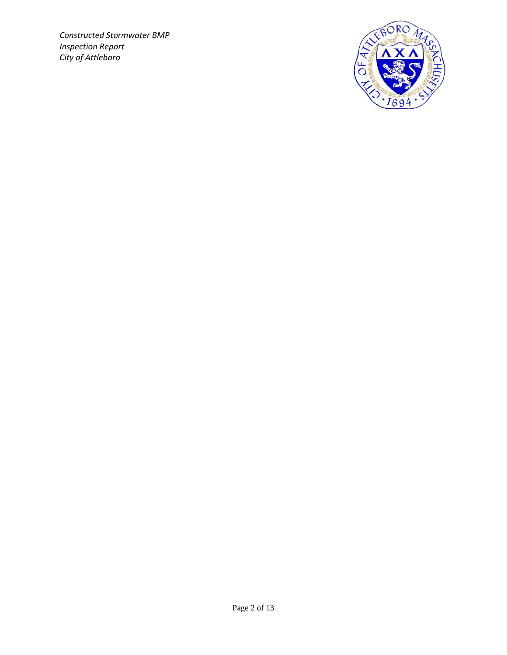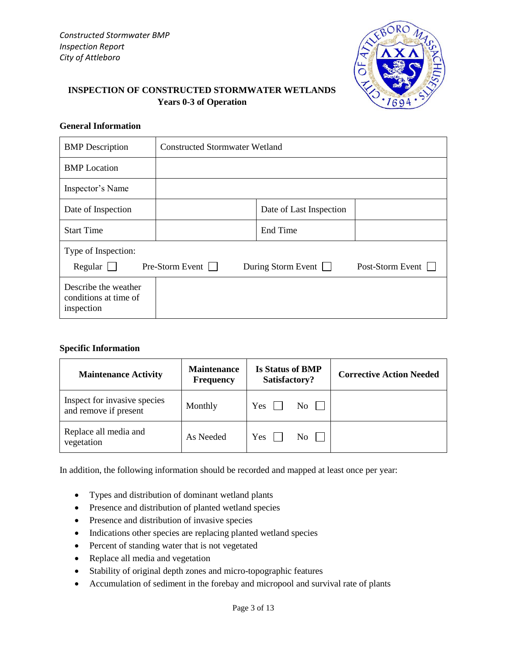

### **INSPECTION OF CONSTRUCTED STORMWATER WETLANDS Years 0-3 of Operation**

#### **General Information**

| <b>BMP</b> Description                                                                        | <b>Constructed Stormwater Wetland</b> |                         |  |  |
|-----------------------------------------------------------------------------------------------|---------------------------------------|-------------------------|--|--|
| <b>BMP</b> Location                                                                           |                                       |                         |  |  |
| Inspector's Name                                                                              |                                       |                         |  |  |
| Date of Inspection                                                                            |                                       | Date of Last Inspection |  |  |
| <b>Start Time</b>                                                                             |                                       | End Time                |  |  |
| Type of Inspection:<br>$Pre-Storm$ Event<br>Regular<br>During Storm Event<br>Post-Storm Event |                                       |                         |  |  |
| Describe the weather<br>conditions at time of<br>inspection                                   |                                       |                         |  |  |

#### **Specific Information**

| <b>Maintenance Activity</b>                           | <b>Maintenance</b><br><b>Frequency</b> | <b>Is Status of BMP</b><br>Satisfactory? | <b>Corrective Action Needed</b> |
|-------------------------------------------------------|----------------------------------------|------------------------------------------|---------------------------------|
| Inspect for invasive species<br>and remove if present | Monthly                                | $\overline{N_0}$<br>Yes                  |                                 |
| Replace all media and<br>vegetation                   | As Needed                              | $\overline{N_{0}}$    <br>Yes            |                                 |

In addition, the following information should be recorded and mapped at least once per year:

- Types and distribution of dominant wetland plants
- Presence and distribution of planted wetland species
- Presence and distribution of invasive species
- Indications other species are replacing planted wetland species
- Percent of standing water that is not vegetated
- Replace all media and vegetation
- Stability of original depth zones and micro-topographic features
- Accumulation of sediment in the forebay and micropool and survival rate of plants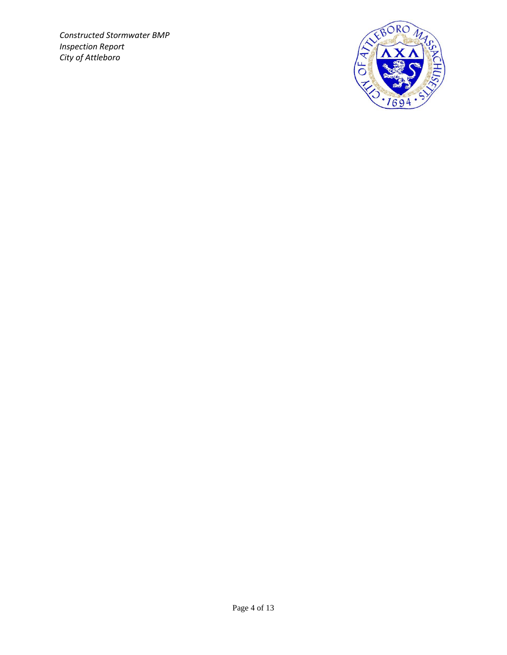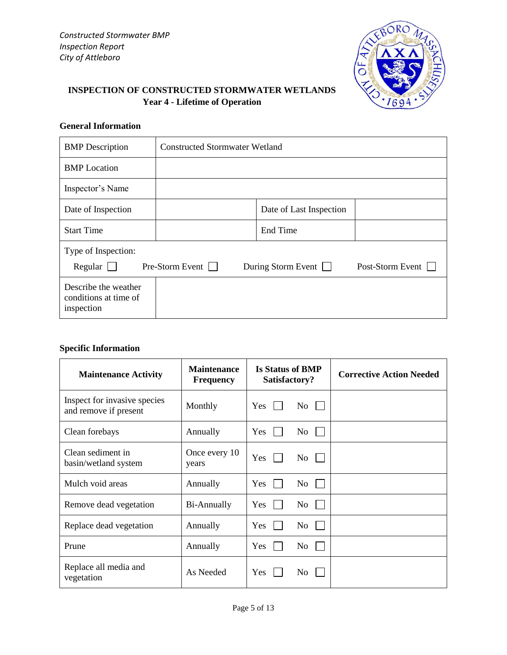

# **INSPECTION OF CONSTRUCTED STORMWATER WETLANDS Year 4 - Lifetime of Operation**

#### **General Information**

| <b>BMP</b> Description                                                                               | <b>Constructed Stormwater Wetland</b> |                         |  |
|------------------------------------------------------------------------------------------------------|---------------------------------------|-------------------------|--|
| <b>BMP</b> Location                                                                                  |                                       |                         |  |
| Inspector's Name                                                                                     |                                       |                         |  |
| Date of Inspection                                                                                   |                                       | Date of Last Inspection |  |
| <b>Start Time</b>                                                                                    |                                       | End Time                |  |
| Type of Inspection:<br>Regular<br>$Pre-Storm$ Event<br>During Storm Event $\Box$<br>Post-Storm Event |                                       |                         |  |
| Describe the weather<br>conditions at time of<br>inspection                                          |                                       |                         |  |

| <b>Maintenance Activity</b>                           | <b>Maintenance</b><br><b>Frequency</b> | <b>Is Status of BMP</b><br>Satisfactory? | <b>Corrective Action Needed</b> |
|-------------------------------------------------------|----------------------------------------|------------------------------------------|---------------------------------|
| Inspect for invasive species<br>and remove if present | Monthly                                | Yes<br>No                                |                                 |
| Clean forebays                                        | Annually                               | Yes<br>No                                |                                 |
| Clean sediment in<br>basin/wetland system             | Once every 10<br>years                 | Yes<br>$\overline{N_0}$<br>$\mathbf{I}$  |                                 |
| Mulch void areas                                      | Annually                               | Yes<br>No<br>$\pm$                       |                                 |
| Remove dead vegetation                                | Bi-Annually                            | Yes<br>No                                |                                 |
| Replace dead vegetation                               | Annually                               | Yes<br>No                                |                                 |
| Prune                                                 | Annually                               | Yes<br>No<br>$\mathbf{L}$                |                                 |
| Replace all media and<br>vegetation                   | As Needed                              | Yes<br>No                                |                                 |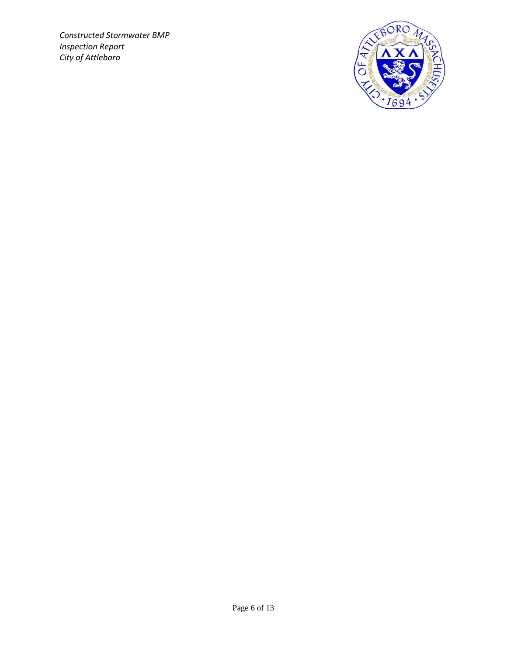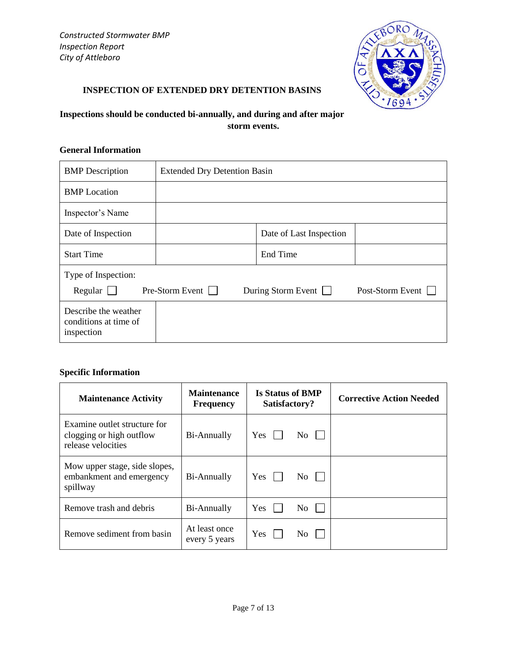

#### **INSPECTION OF EXTENDED DRY DETENTION BASINS**

# **Inspections should be conducted bi-annually, and during and after major storm events.**

#### **General Information**

| <b>BMP</b> Description                                      | <b>Extended Dry Detention Basin</b> |                           |                  |  |
|-------------------------------------------------------------|-------------------------------------|---------------------------|------------------|--|
| <b>BMP</b> Location                                         |                                     |                           |                  |  |
| Inspector's Name                                            |                                     |                           |                  |  |
| Date of Inspection                                          |                                     | Date of Last Inspection   |                  |  |
| <b>Start Time</b>                                           |                                     | End Time                  |                  |  |
| Type of Inspection:                                         |                                     |                           |                  |  |
| Regular                                                     | $Pre-Storm$ Event $  \cdot  $       | During Storm Event $\Box$ | Post-Storm Event |  |
| Describe the weather<br>conditions at time of<br>inspection |                                     |                           |                  |  |

| <b>Maintenance Activity</b>                                                    | <b>Maintenance</b><br><b>Frequency</b> | <b>Is Status of BMP</b><br>Satisfactory? | <b>Corrective Action Needed</b> |
|--------------------------------------------------------------------------------|----------------------------------------|------------------------------------------|---------------------------------|
| Examine outlet structure for<br>clogging or high outflow<br>release velocities | Bi-Annually                            | Yes<br>N <sub>o</sub>                    |                                 |
| Mow upper stage, side slopes,<br>embankment and emergency<br>spillway          | Bi-Annually                            | Yes<br>$\overline{N_{O}}$                |                                 |
| Remove trash and debris                                                        | Bi-Annually                            | Yes<br>No.                               |                                 |
| Remove sediment from basin                                                     | At least once<br>every 5 years         | Yes<br>N <sub>0</sub>                    |                                 |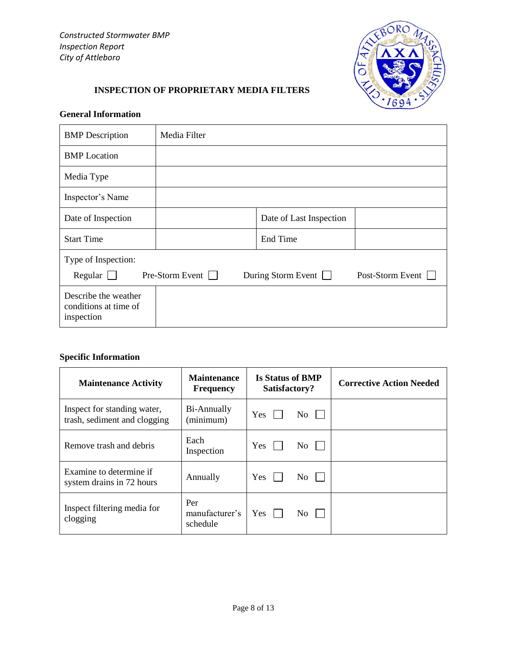

# **INSPECTION OF PROPRIETARY MEDIA FILTERS**

# **General Information**

| <b>BMP</b> Description                                      | Media Filter           |                           |                  |
|-------------------------------------------------------------|------------------------|---------------------------|------------------|
| <b>BMP</b> Location                                         |                        |                           |                  |
| Media Type                                                  |                        |                           |                  |
| Inspector's Name                                            |                        |                           |                  |
| Date of Inspection                                          |                        | Date of Last Inspection   |                  |
| <b>Start Time</b>                                           |                        | End Time                  |                  |
| Type of Inspection:                                         |                        |                           |                  |
| Regular                                                     | Pre-Storm Event $\Box$ | During Storm Event $\Box$ | Post-Storm Event |
| Describe the weather<br>conditions at time of<br>inspection |                        |                           |                  |

| <b>Maintenance Activity</b>                                 | <b>Maintenance</b><br><b>Frequency</b> | <b>Is Status of BMP</b><br>Satisfactory? | <b>Corrective Action Needed</b> |
|-------------------------------------------------------------|----------------------------------------|------------------------------------------|---------------------------------|
| Inspect for standing water,<br>trash, sediment and clogging | Bi-Annually<br>(minimum)               | Yes<br>N <sub>0</sub>                    |                                 |
| Remove trash and debris                                     | Each<br>Inspection                     | Yes<br>No.                               |                                 |
| Examine to determine if<br>system drains in 72 hours        | Annually                               | Yes<br>N <sub>0</sub>                    |                                 |
| Inspect filtering media for<br>clogging                     | Per<br>manufacturer's<br>schedule      | Yes<br>No.                               |                                 |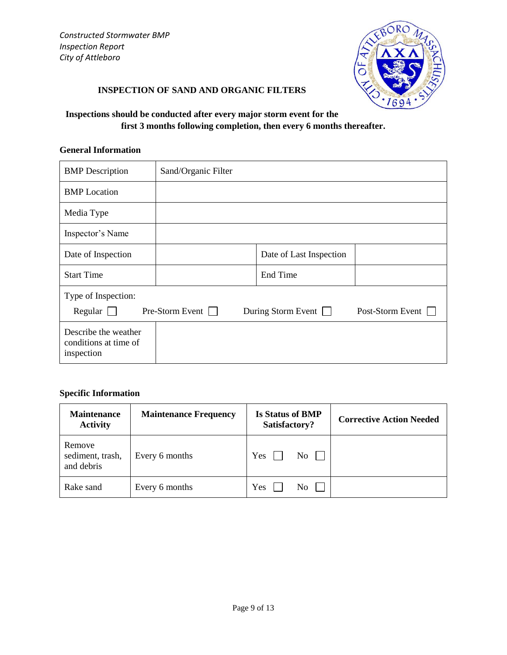

#### **INSPECTION OF SAND AND ORGANIC FILTERS**

### **Inspections should be conducted after every major storm event for the first 3 months following completion, then every 6 months thereafter.**

#### **General Information**

| <b>BMP</b> Description                                      | Sand/Organic Filter |                           |                  |
|-------------------------------------------------------------|---------------------|---------------------------|------------------|
| <b>BMP</b> Location                                         |                     |                           |                  |
| Media Type                                                  |                     |                           |                  |
| Inspector's Name                                            |                     |                           |                  |
| Date of Inspection                                          |                     | Date of Last Inspection   |                  |
| <b>Start Time</b>                                           |                     | End Time                  |                  |
| Type of Inspection:                                         |                     |                           |                  |
| Regular                                                     | Pre-Storm Event     | During Storm Event $\Box$ | Post-Storm Event |
| Describe the weather<br>conditions at time of<br>inspection |                     |                           |                  |

| <b>Maintenance</b><br><b>Activity</b>    | <b>Maintenance Frequency</b> | <b>Is Status of BMP</b><br>Satisfactory? | <b>Corrective Action Needed</b> |
|------------------------------------------|------------------------------|------------------------------------------|---------------------------------|
| Remove<br>sediment, trash,<br>and debris | Every 6 months               | Yes<br>No                                |                                 |
| Rake sand                                | Every 6 months               | Yes<br>N <sub>0</sub>                    |                                 |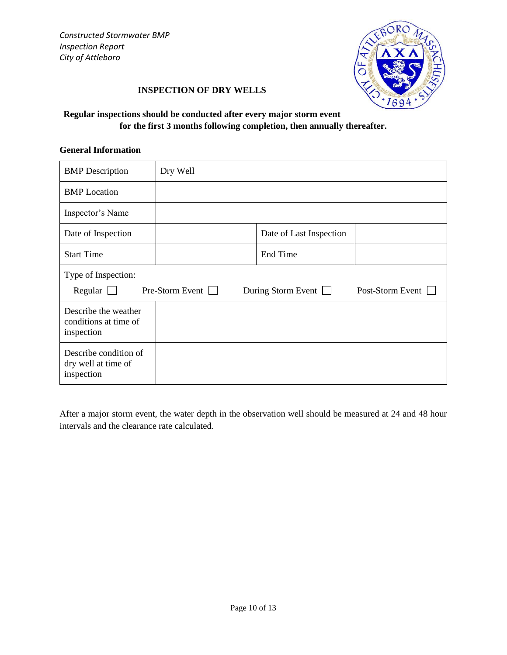

#### **INSPECTION OF DRY WELLS**

### **Regular inspections should be conducted after every major storm event for the first 3 months following completion, then annually thereafter.**

#### **General Information**

| <b>BMP</b> Description                                                                                           | Dry Well |                         |  |
|------------------------------------------------------------------------------------------------------------------|----------|-------------------------|--|
| <b>BMP</b> Location                                                                                              |          |                         |  |
| Inspector's Name                                                                                                 |          |                         |  |
| Date of Inspection                                                                                               |          | Date of Last Inspection |  |
| <b>Start Time</b>                                                                                                |          | <b>End Time</b>         |  |
| Type of Inspection:<br>Regular $\Box$<br>$Pre-Storm$ Event $\ $<br>During Storm Event $\Box$<br>Post-Storm Event |          |                         |  |
| Describe the weather<br>conditions at time of<br>inspection                                                      |          |                         |  |
| Describe condition of<br>dry well at time of<br>inspection                                                       |          |                         |  |

After a major storm event, the water depth in the observation well should be measured at 24 and 48 hour intervals and the clearance rate calculated.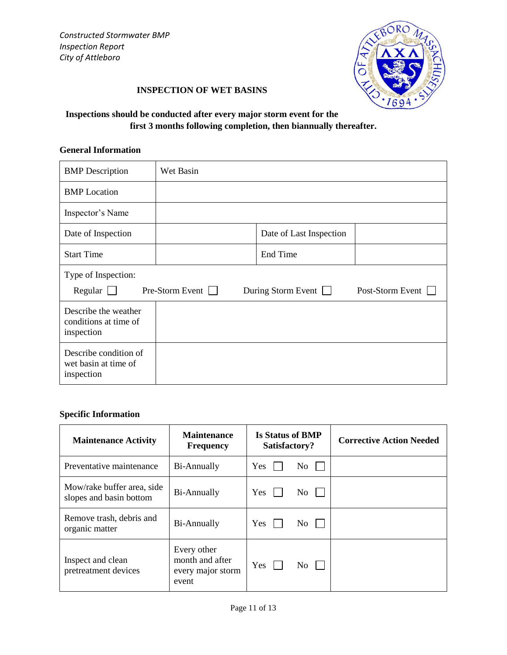

#### **INSPECTION OF WET BASINS**

### **Inspections should be conducted after every major storm event for the first 3 months following completion, then biannually thereafter.**

#### **General Information**

| <b>BMP</b> Description                                                                                 | Wet Basin |                         |  |
|--------------------------------------------------------------------------------------------------------|-----------|-------------------------|--|
| <b>BMP</b> Location                                                                                    |           |                         |  |
| Inspector's Name                                                                                       |           |                         |  |
| Date of Inspection                                                                                     |           | Date of Last Inspection |  |
| <b>Start Time</b>                                                                                      |           | <b>End Time</b>         |  |
| Type of Inspection:<br>Regular<br>Pre-Storm Event    <br>During Storm Event $\Box$<br>Post-Storm Event |           |                         |  |
| Describe the weather<br>conditions at time of<br>inspection                                            |           |                         |  |
| Describe condition of<br>wet basin at time of<br>inspection                                            |           |                         |  |

| <b>Maintenance Activity</b>                           | <b>Maintenance</b><br><b>Frequency</b>                       | <b>Is Status of BMP</b><br>Satisfactory? | <b>Corrective Action Needed</b> |
|-------------------------------------------------------|--------------------------------------------------------------|------------------------------------------|---------------------------------|
| Preventative maintenance                              | Bi-Annually                                                  | Yes<br>$\overline{N_{0}}$                |                                 |
| Mow/rake buffer area, side<br>slopes and basin bottom | Bi-Annually                                                  | Yes<br>No.                               |                                 |
| Remove trash, debris and<br>organic matter            | Bi-Annually                                                  | Yes<br>No                                |                                 |
| Inspect and clean<br>pretreatment devices             | Every other<br>month and after<br>every major storm<br>event | Yes<br>$No$                              |                                 |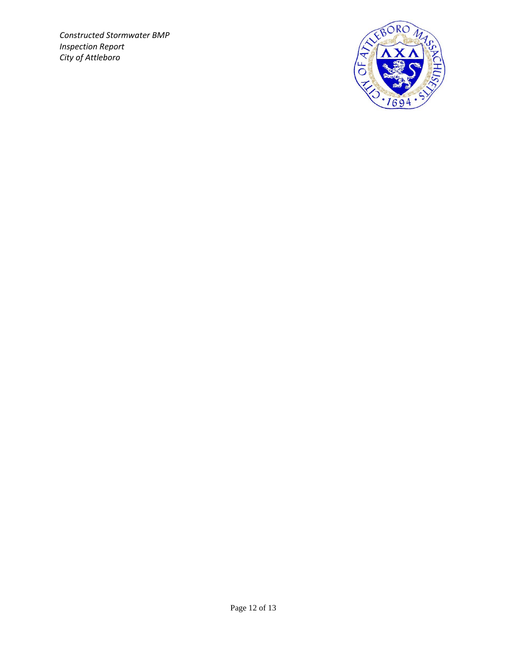